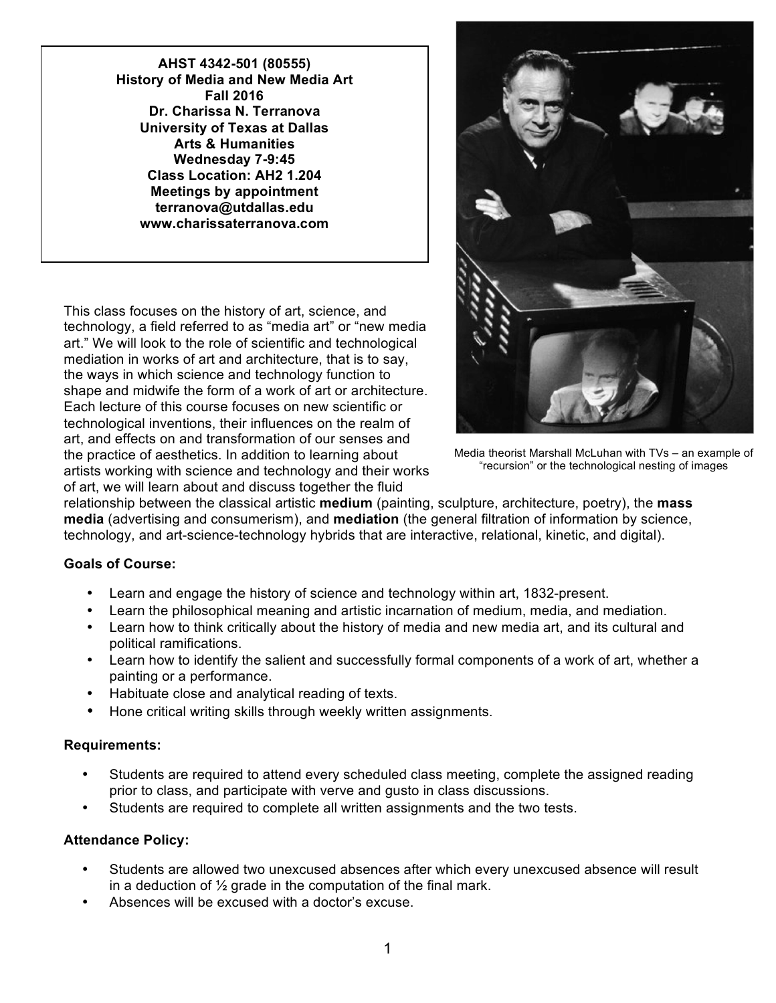**AHST 4342-501 (80555) History of Media and New Media Art Fall 2016 Dr. Charissa N. Terranova University of Texas at Dallas Arts & Humanities Wednesday 7-9:45 Class Location: AH2 1.204 Meetings by appointment terranova@utdallas.edu www.charissaterranova.com**

This class focuses on the history of art, science, and technology, a field referred to as "media art" or "new media art." We will look to the role of scientific and technological mediation in works of art and architecture, that is to say, the ways in which science and technology function to shape and midwife the form of a work of art or architecture. Each lecture of this course focuses on new scientific or technological inventions, their influences on the realm of art, and effects on and transformation of our senses and the practice of aesthetics. In addition to learning about artists working with science and technology and their works of art, we will learn about and discuss together the fluid



Media theorist Marshall McLuhan with TVs – an example of "recursion" or the technological nesting of images

relationship between the classical artistic **medium** (painting, sculpture, architecture, poetry), the **mass media** (advertising and consumerism), and **mediation** (the general filtration of information by science, technology, and art-science-technology hybrids that are interactive, relational, kinetic, and digital).

# **Goals of Course:**

- Learn and engage the history of science and technology within art, 1832-present.
- Learn the philosophical meaning and artistic incarnation of medium, media, and mediation.
- Learn how to think critically about the history of media and new media art, and its cultural and political ramifications.
- Learn how to identify the salient and successfully formal components of a work of art, whether a painting or a performance.
- Habituate close and analytical reading of texts.
- Hone critical writing skills through weekly written assignments.

## **Requirements:**

- Students are required to attend every scheduled class meeting, complete the assigned reading prior to class, and participate with verve and gusto in class discussions.
- Students are required to complete all written assignments and the two tests.

## **Attendance Policy:**

- Students are allowed two unexcused absences after which every unexcused absence will result in a deduction of ½ grade in the computation of the final mark.
- Absences will be excused with a doctor's excuse.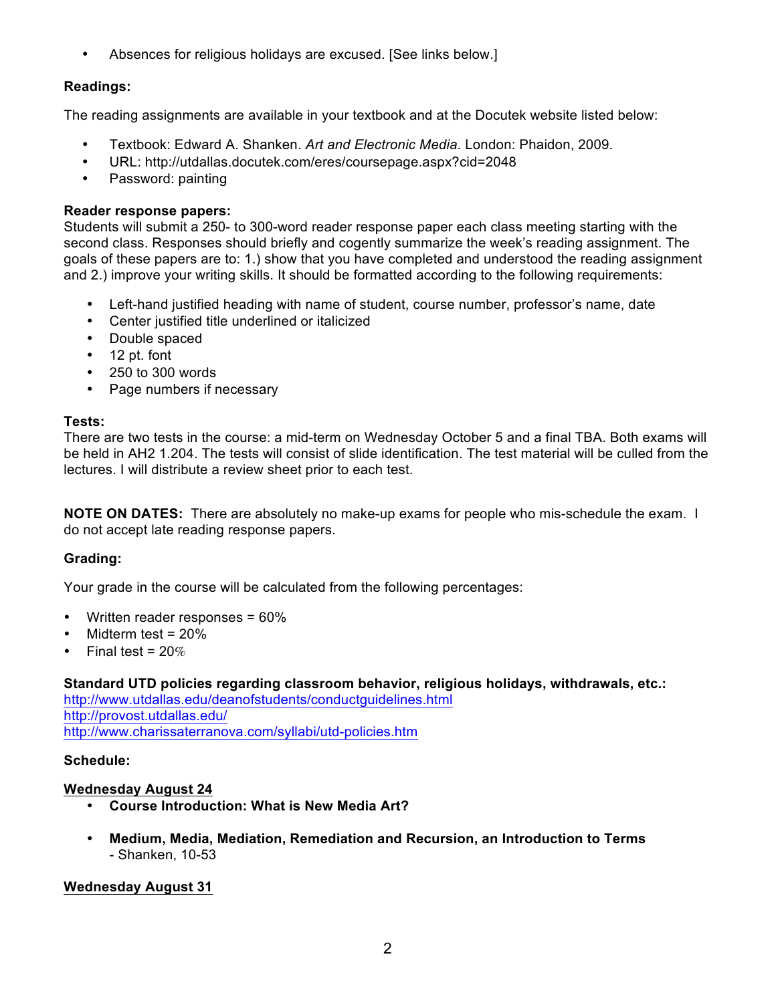• Absences for religious holidays are excused. [See links below.]

# **Readings:**

The reading assignments are available in your textbook and at the Docutek website listed below:

- Textbook: Edward A. Shanken. *Art and Electronic Media*. London: Phaidon, 2009.
- URL: http://utdallas.docutek.com/eres/coursepage.aspx?cid=2048
- Password: painting

## **Reader response papers:**

Students will submit a 250- to 300-word reader response paper each class meeting starting with the second class. Responses should briefly and cogently summarize the week's reading assignment. The goals of these papers are to: 1.) show that you have completed and understood the reading assignment and 2.) improve your writing skills. It should be formatted according to the following requirements:

- Left-hand justified heading with name of student, course number, professor's name, date
- Center justified title underlined or italicized
- Double spaced
- 12 pt. font
- 250 to 300 words
- Page numbers if necessary

## **Tests:**

There are two tests in the course: a mid-term on Wednesday October 5 and a final TBA. Both exams will be held in AH2 1.204. The tests will consist of slide identification. The test material will be culled from the lectures. I will distribute a review sheet prior to each test.

**NOTE ON DATES:** There are absolutely no make-up exams for people who mis-schedule the exam. I do not accept late reading response papers.

## **Grading:**

Your grade in the course will be calculated from the following percentages:

- Written reader responses = 60%
- Midterm test = 20%
- Final test =  $20%$

## **Standard UTD policies regarding classroom behavior, religious holidays, withdrawals, etc.:**

http://www.utdallas.edu/deanofstudents/conductguidelines.html http://provost.utdallas.edu/ http://www.charissaterranova.com/syllabi/utd-policies.htm

## **Schedule:**

## **Wednesday August 24**

- **Course Introduction: What is New Media Art?**
- **Medium, Media, Mediation, Remediation and Recursion, an Introduction to Terms**  - Shanken, 10-53

# **Wednesday August 31**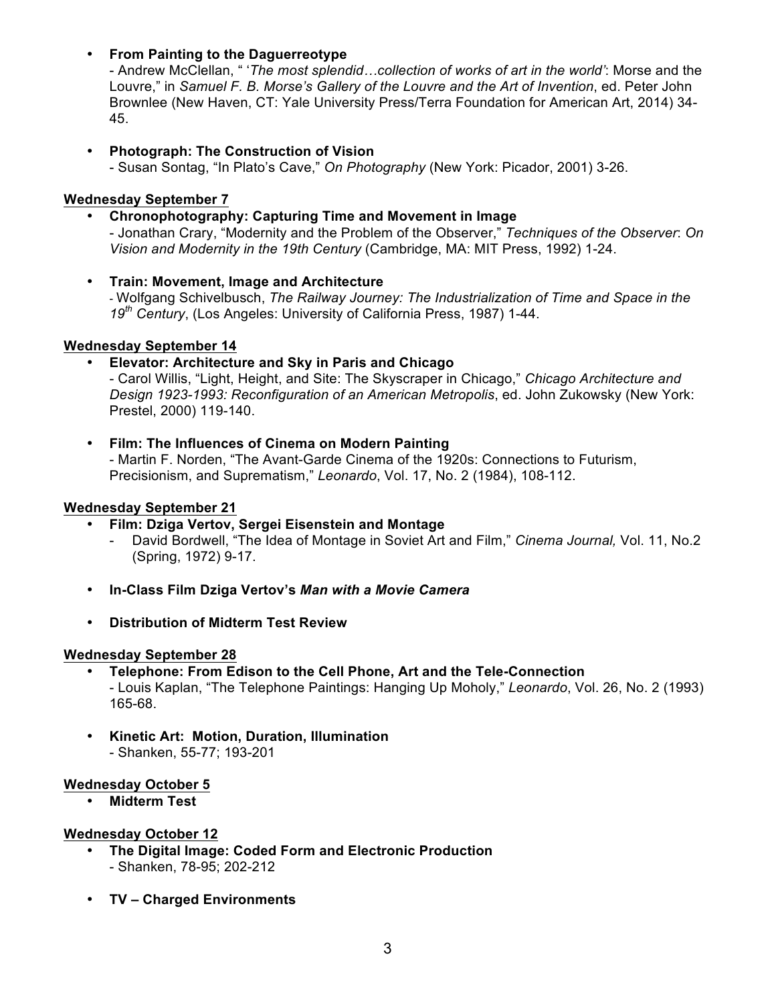# • **From Painting to the Daguerreotype**

- Andrew McClellan, " '*The most splendid…collection of works of art in the world'*: Morse and the Louvre," in *Samuel F. B. Morse's Gallery of the Louvre and the Art of Invention*, ed. Peter John Brownlee (New Haven, CT: Yale University Press/Terra Foundation for American Art, 2014) 34- 45.

# • **Photograph: The Construction of Vision**

- Susan Sontag, "In Plato's Cave," *On Photography* (New York: Picador, 2001) 3-26.

## **Wednesday September 7**

# • **Chronophotography: Capturing Time and Movement in Image**

- Jonathan Crary, "Modernity and the Problem of the Observer," *Techniques of the Observer*: *On Vision and Modernity in the 19th Century* (Cambridge, MA: MIT Press, 1992) 1-24.

## • **Train: Movement, Image and Architecture**

- Wolfgang Schivelbusch, *The Railway Journey: The Industrialization of Time and Space in the 19th Century*, (Los Angeles: University of California Press, 1987) 1-44.

## **Wednesday September 14**

# • **Elevator: Architecture and Sky in Paris and Chicago**

- Carol Willis, "Light, Height, and Site: The Skyscraper in Chicago," *Chicago Architecture and Design 1923-1993: Reconfiguration of an American Metropolis*, ed. John Zukowsky (New York: Prestel, 2000) 119-140.

#### • **Film: The Influences of Cinema on Modern Painting** - Martin F. Norden, "The Avant-Garde Cinema of the 1920s: Connections to Futurism, Precisionism, and Suprematism," *Leonardo*, Vol. 17, No. 2 (1984), 108-112.

## **Wednesday September 21**

# • **Film: Dziga Vertov, Sergei Eisenstein and Montage**

- David Bordwell, "The Idea of Montage in Soviet Art and Film," *Cinema Journal,* Vol. 11, No.2 (Spring, 1972) 9-17.
- **In-Class Film Dziga Vertov's** *Man with a Movie Camera*
- **Distribution of Midterm Test Review**

## **Wednesday September 28**

- **Telephone: From Edison to the Cell Phone, Art and the Tele-Connection** - Louis Kaplan, "The Telephone Paintings: Hanging Up Moholy," *Leonardo*, Vol. 26, No. 2 (1993) 165-68.
- **Kinetic Art: Motion, Duration, Illumination**  - Shanken, 55-77; 193-201

## **Wednesday October 5**

• **Midterm Test**

## **Wednesday October 12**

- **The Digital Image: Coded Form and Electronic Production** - Shanken, 78-95; 202-212
- **TV – Charged Environments**